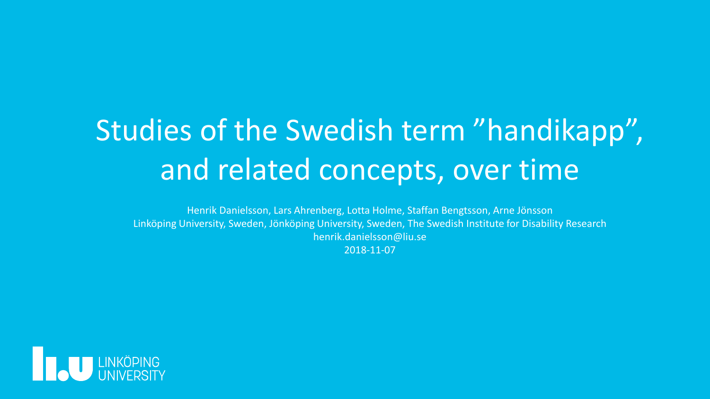# Studies of the Swedish term "handikapp", and related concepts, over time

Henrik Danielsson, Lars Ahrenberg, Lotta Holme, Staffan Bengtsson, Arne Jönsson Linköping University, Sweden, Jönköping University, Sweden, The Swedish Institute for Disability Research henrik.danielsson@liu.se 2018-11-07

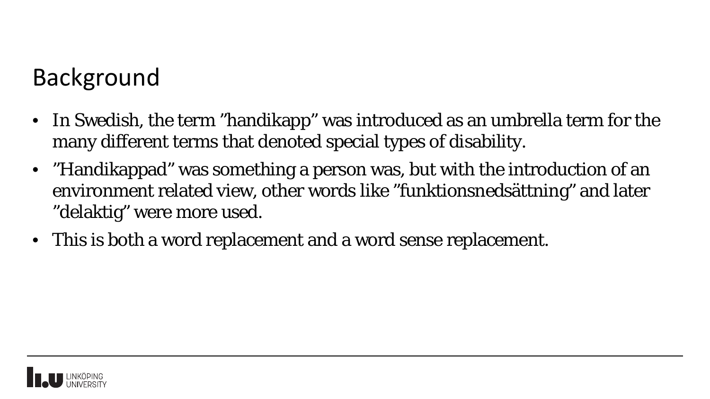## Background

- In Swedish, the term "handikapp" was introduced as an umbrella term for the many different terms that denoted special types of disability.
- "Handikappad" was something a person was, but with the introduction of an environment related view, other words like "funktionsnedsättning" and later "delaktig" were more used.
- This is both a word replacement and a word sense replacement.

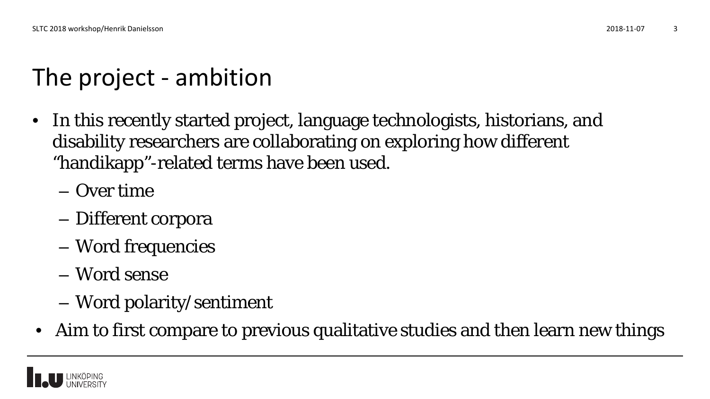# The project - ambition

- In this recently started project, language technologists, historians, and disability researchers are collaborating on exploring how different "handikapp"-related terms have been used.
	- Over time
	- Different corpora
	- Word frequencies
	- Word sense
	- Word polarity/sentiment
- Aim to first compare to previous qualitative studies and then learn new things

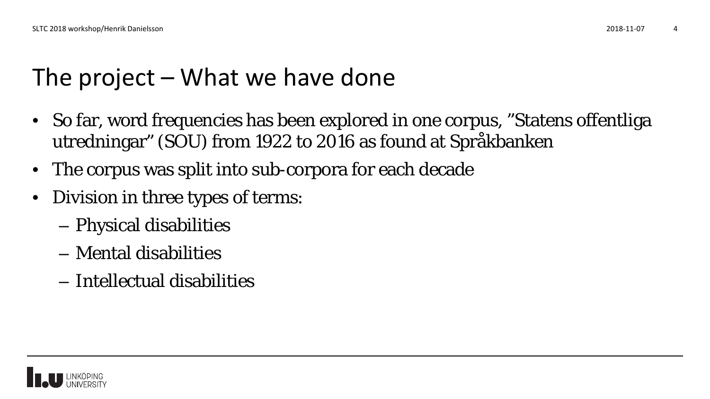# The project – What we have done

- So far, word frequencies has been explored in one corpus, "Statens offentliga utredningar" (SOU) from 1922 to 2016 as found at Språkbanken
- The corpus was split into sub-corpora for each decade
- Division in three types of terms:
	- Physical disabilities
	- Mental disabilities
	- Intellectual disabilities

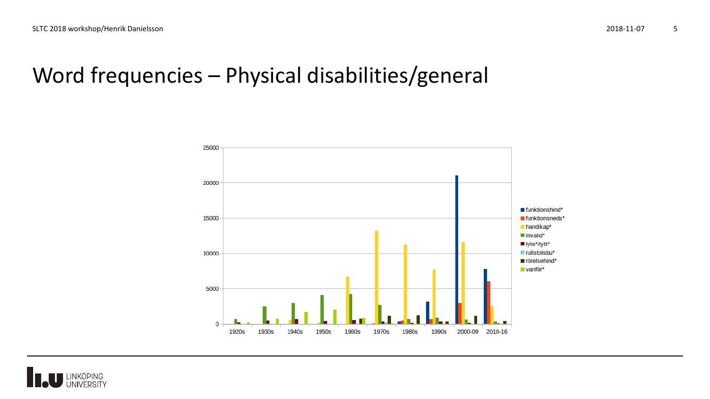#### Word frequencies – Physical disabilities/general



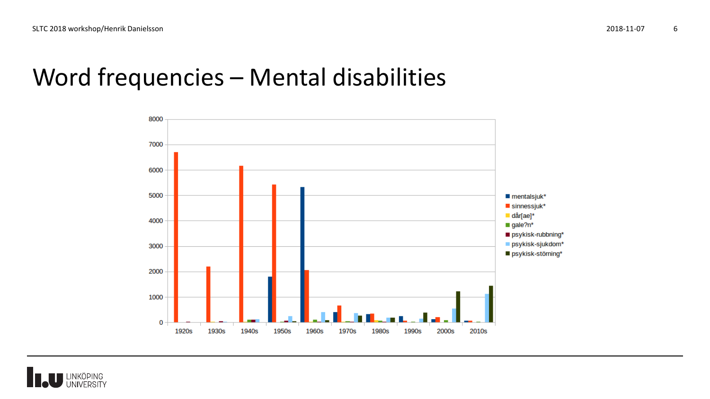#### Word frequencies – Mental disabilities



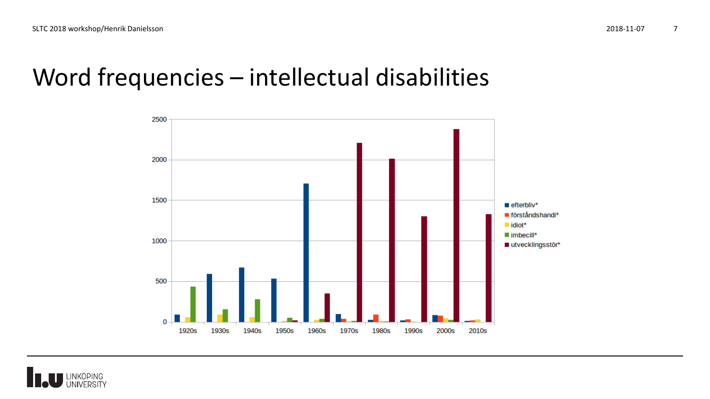#### Word frequencies – intellectual disabilities



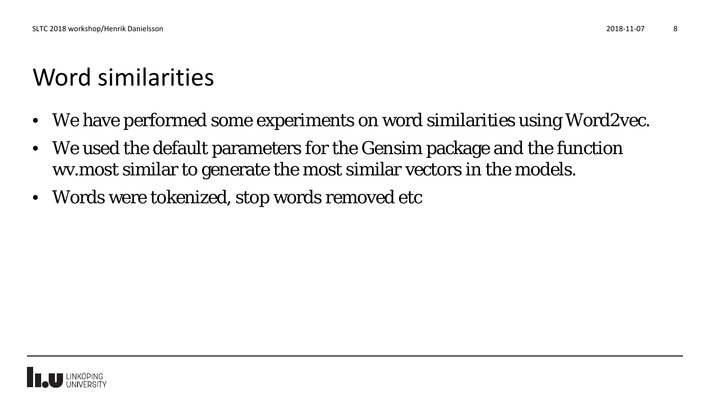# Word similarities

- We have performed some experiments on word similarities using Word2vec.
- We used the default parameters for the Gensim package and the function wv.most similar to generate the most similar vectors in the models.
- Words were tokenized, stop words removed etc

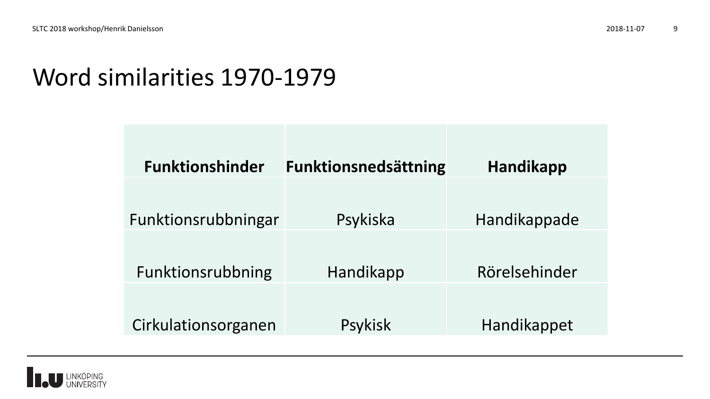## Word similarities 1970-1979

| <b>Funktionshinder</b> | <b>Funktionsnedsättning</b> | <b>Handikapp</b> |  |
|------------------------|-----------------------------|------------------|--|
|                        |                             |                  |  |
| Funktionsrubbningar    | Psykiska                    | Handikappade     |  |
| Funktionsrubbning      | Handikapp                   | Rörelsehinder    |  |
| Cirkulationsorganen    | Psykisk                     | Handikappet      |  |

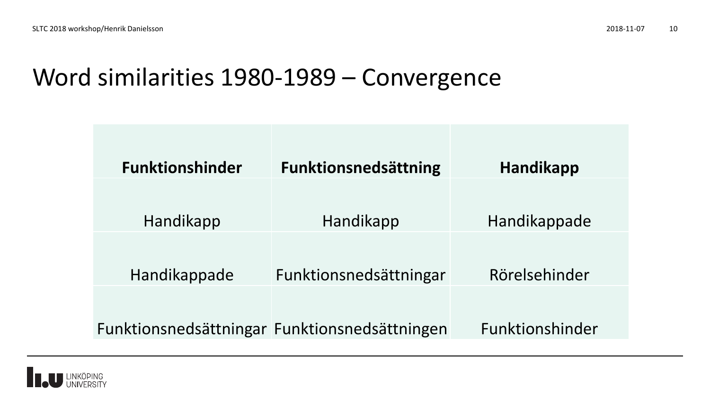#### Word similarities 1980-1989 – Convergence

| <b>Funktionshinder</b> | <b>Funktionsnedsättning</b>                   | Handikapp       |
|------------------------|-----------------------------------------------|-----------------|
|                        |                                               |                 |
| Handikapp              | Handikapp                                     | Handikappade    |
| Handikappade           | Funktionsnedsättningar                        | Rörelsehinder   |
|                        | Funktionsnedsättningar Funktionsnedsättningen | Funktionshinder |

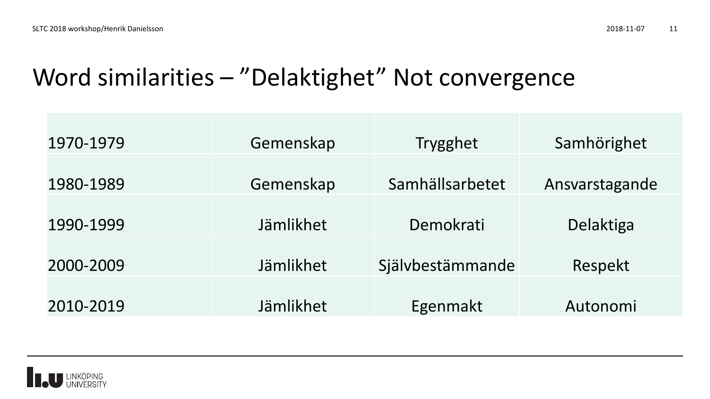## Word similarities – "Delaktighet" Not convergence

| 1970-1979 | Gemenskap | <b>Trygghet</b>  | Samhörighet    |
|-----------|-----------|------------------|----------------|
| 1980-1989 | Gemenskap | Samhällsarbetet  | Ansvarstagande |
| 1990-1999 | Jämlikhet | Demokrati        | Delaktiga      |
|           |           |                  |                |
| 2000-2009 | Jämlikhet | Självbestämmande | Respekt        |
|           |           |                  |                |
| 2010-2019 | Jämlikhet | Egenmakt         | Autonomi       |

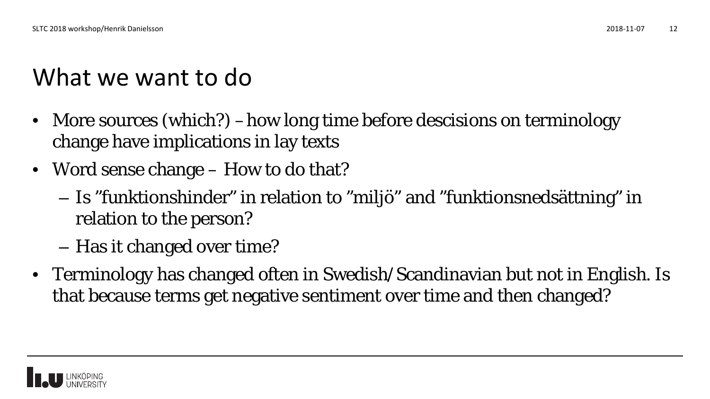# What we want to do

- More sources (which?) –how long time before descisions on terminology change have implications in lay texts
- Word sense change How to do that?
	- Is "funktionshinder" in relation to "miljö" and "funktionsnedsättning" in relation to the person?
	- Has it changed over time?
- Terminology has changed often in Swedish/Scandinavian but not in English. Is that because terms get negative sentiment over time and then changed?

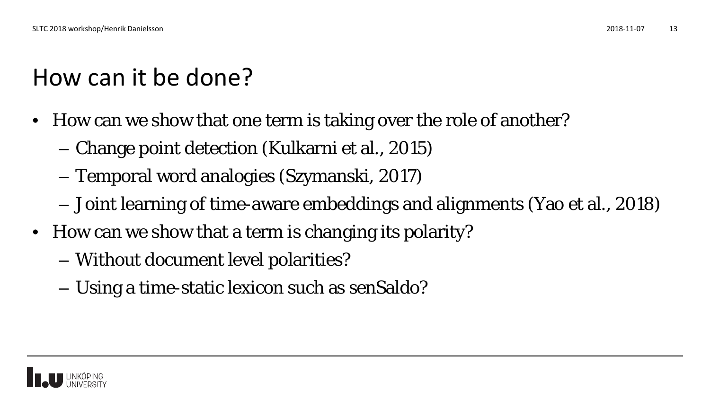# How can it be done?

- How can we show that one term is taking over the role of another?
	- Change point detection (Kulkarni et al., 2015)
	- Temporal word analogies (Szymanski, 2017)
	- Joint learning of time-aware embeddings and alignments (Yao et al., 2018)
- How can we show that a term is changing its polarity?
	- Without document level polarities?
	- Using a time-static lexicon such as senSaldo?

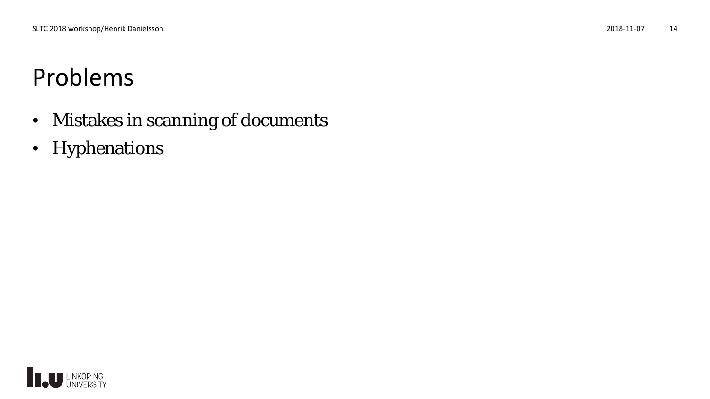## Problems

- Mistakes in scanning of documents
- Hyphenations